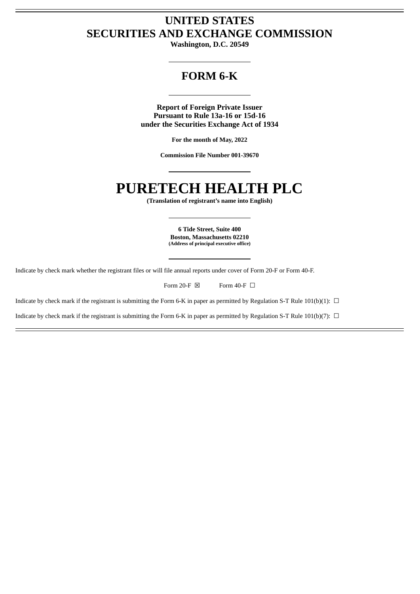## **UNITED STATES SECURITIES AND EXCHANGE COMMISSION**

**Washington, D.C. 20549**

## **FORM 6-K**

**Report of Foreign Private Issuer Pursuant to Rule 13a-16 or 15d-16 under the Securities Exchange Act of 1934**

**For the month of May, 2022**

**Commission File Number 001-39670**

# **PURETECH HEALTH PLC**

**(Translation of registrant's name into English)**

**6 Tide Street, Suite 400 Boston, Massachusetts 02210 (Address of principal executive office)**

Indicate by check mark whether the registrant files or will file annual reports under cover of Form 20-F or Form 40-F.

Form 20-F  $\boxtimes$  Form 40-F  $\Box$ 

Indicate by check mark if the registrant is submitting the Form 6-K in paper as permitted by Regulation S-T Rule 101(b)(1):  $\Box$ 

Indicate by check mark if the registrant is submitting the Form 6-K in paper as permitted by Regulation S-T Rule 101(b)(7):  $\Box$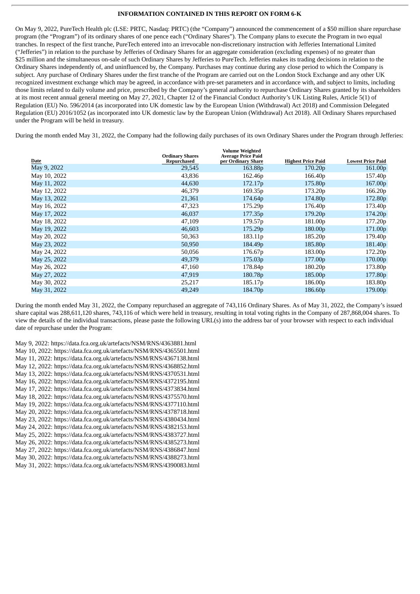#### **INFORMATION CONTAINED IN THIS REPORT ON FORM 6-K**

On May 9, 2022, PureTech Health plc (LSE: PRTC, Nasdaq: PRTC) (the "Company") announced the commencement of a \$50 million share repurchase program (the "Program") of its ordinary shares of one pence each ("Ordinary Shares"). The Company plans to execute the Program in two equal tranches. In respect of the first tranche, PureTech entered into an irrevocable non-discretionary instruction with Jefferies International Limited ("Jefferies") in relation to the purchase by Jefferies of Ordinary Shares for an aggregate consideration (excluding expenses) of no greater than \$25 million and the simultaneous on-sale of such Ordinary Shares by Jefferies to PureTech. Jefferies makes its trading decisions in relation to the Ordinary Shares independently of, and uninfluenced by, the Company. Purchases may continue during any close period to which the Company is subject. Any purchase of Ordinary Shares under the first tranche of the Program are carried out on the London Stock Exchange and any other UK recognized investment exchange which may be agreed, in accordance with pre-set parameters and in accordance with, and subject to limits, including those limits related to daily volume and price, prescribed by the Company's general authority to repurchase Ordinary Shares granted by its shareholders at its most recent annual general meeting on May 27, 2021, Chapter 12 of the Financial Conduct Authority's UK Listing Rules, Article 5(1) of Regulation (EU) No. 596/2014 (as incorporated into UK domestic law by the European Union (Withdrawal) Act 2018) and Commission Delegated Regulation (EU) 2016/1052 (as incorporated into UK domestic law by the European Union (Withdrawal) Act 2018). All Ordinary Shares repurchased under the Program will be held in treasury.

During the month ended May 31, 2022, the Company had the following daily purchases of its own Ordinary Shares under the Program through Jefferies:

|              | <b>Ordinary Shares</b> | <b>Volume Weighted</b><br><b>Average Price Paid</b> |                           |                          |
|--------------|------------------------|-----------------------------------------------------|---------------------------|--------------------------|
| Date         | Repurchased            | per Ordinary Share                                  | <b>Highest Price Paid</b> | <b>Lowest Price Paid</b> |
| May 9, 2022  | 29,545                 | 163.88p                                             | 170.20 <sub>p</sub>       | 161.00 <sub>p</sub>      |
| May 10, 2022 | 43,836                 | 162.46p                                             | 166.40 <sub>p</sub>       | 157.40 <sub>p</sub>      |
| May 11, 2022 | 44,630                 | 172.17p                                             | 175.80 <sub>p</sub>       | 167.00 <sub>p</sub>      |
| May 12, 2022 | 46,379                 | 169.35 <sub>p</sub>                                 | 173.20p                   | 166.20p                  |
| May 13, 2022 | 21,361                 | 174.64p                                             | 174.80 <sub>p</sub>       | 172.80p                  |
| May 16, 2022 | 47,323                 | 175.29p                                             | 176.40 <sub>p</sub>       | 173.40 <sub>p</sub>      |
| May 17, 2022 | 46,037                 | 177.35p                                             | 179.20p                   | 174.20p                  |
| May 18, 2022 | 47,109                 | 179.57p                                             | 181.00p                   | 177.20p                  |
| May 19, 2022 | 46,603                 | 175.29p                                             | 180.00 <sub>p</sub>       | 171.00 <sub>p</sub>      |
| May 20, 2022 | 50,363                 | 183.11p                                             | 185.20 <sub>p</sub>       | 179.40 <sub>p</sub>      |
| May 23, 2022 | 50,950                 | 184.49 <sub>p</sub>                                 | 185.80 <sub>p</sub>       | 181.40 <sub>p</sub>      |
| May 24, 2022 | 50,056                 | 176.67p                                             | 183.00 <sub>p</sub>       | 172.20p                  |
| May 25, 2022 | 49,379                 | 175.03p                                             | 177.00p                   | 170.00 <sub>p</sub>      |
| May 26, 2022 | 47,160                 | 178.84p                                             | 180.20 <sub>p</sub>       | 173.80p                  |
| May 27, 2022 | 47,919                 | 180.78p                                             | 185.00 <sub>p</sub>       | 177.80p                  |
| May 30, 2022 | 25,217                 | 185.17p                                             | 186.00 <sub>p</sub>       | 183.80 <sub>p</sub>      |
| May 31, 2022 | 49,249                 | 184.70 <sub>p</sub>                                 | 186.60p                   | 179.00p                  |

During the month ended May 31, 2022, the Company repurchased an aggregate of 743,116 Ordinary Shares. As of May 31, 2022, the Company's issued share capital was 288,611,120 shares, 743,116 of which were held in treasury, resulting in total voting rights in the Company of 287,868,004 shares. To view the details of the individual transactions, please paste the following URL(s) into the address bar of your browser with respect to each individual date of repurchase under the Program:

May 9, 2022: https://data.fca.org.uk/artefacts/NSM/RNS/4363881.html May 10, 2022: https://data.fca.org.uk/artefacts/NSM/RNS/4365501.html May 11, 2022: https://data.fca.org.uk/artefacts/NSM/RNS/4367138.html May 12, 2022: https://data.fca.org.uk/artefacts/NSM/RNS/4368852.html May 13, 2022: https://data.fca.org.uk/artefacts/NSM/RNS/4370531.html May 16, 2022: https://data.fca.org.uk/artefacts/NSM/RNS/4372195.html May 17, 2022: https://data.fca.org.uk/artefacts/NSM/RNS/4373834.html May 18, 2022: https://data.fca.org.uk/artefacts/NSM/RNS/4375570.html May 19, 2022: https://data.fca.org.uk/artefacts/NSM/RNS/4377110.html May 20, 2022: https://data.fca.org.uk/artefacts/NSM/RNS/4378718.html May 23, 2022: https://data.fca.org.uk/artefacts/NSM/RNS/4380434.html May 24, 2022: https://data.fca.org.uk/artefacts/NSM/RNS/4382153.html May 25, 2022: https://data.fca.org.uk/artefacts/NSM/RNS/4383727.html May 26, 2022: https://data.fca.org.uk/artefacts/NSM/RNS/4385273.html May 27, 2022: https://data.fca.org.uk/artefacts/NSM/RNS/4386847.html May 30, 2022: https://data.fca.org.uk/artefacts/NSM/RNS/4388273.html May 31, 2022: https://data.fca.org.uk/artefacts/NSM/RNS/4390083.html